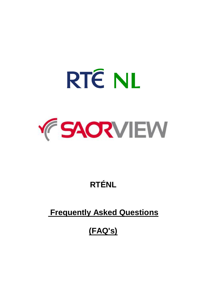

# **RTÉNL**

# **Frequently Asked Questions**

# **(FAQ's)**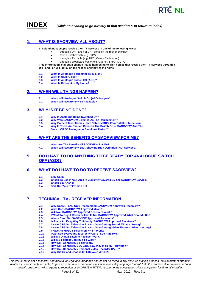



**INDEX** *(Click on heading to go directly to that section & to return to index)*

## <span id="page-1-0"></span>**1. [WHAT IS SAORVIEW ALL ABOUT?](#page-2-0)**

**In Ireland most people receive their TV services in one of the following ways:** 

- through a UHF and / or VHF aerial on the roof or chimney
	- from a satellite dish (e.g. SKY)
- through a TV cable (e.g. UPC, Casey Cablevision)
- through a broadband cable (e.g. Magnet, SMART, UPC)

**This information is about a change that is happening to Irish homes that receive their TV services through a UHF and / or VHF aerial on the roof or chimney of the home.** 

- **1.1 What Is Analogue Terrestrial Television?**
- **1.2 What Is SAORVIEW?**
- **1.3 What Is Analogue Switch Off (ASO)?**
- **1.4 What Is Different In My Home?**

### <span id="page-1-1"></span>**2. [WHEN WILL THINGS HAPPEN?](#page-5-0)**

- **2.1 When Will Analogue Switch Off (ASO) Happen?**
- **2.2 When Will SAORVIEW Be Available?**

## <span id="page-1-2"></span>**3. [WHY IS IT BEING DONE?](#page-6-0)**

- **3.1 Why Is Analogue Being Switched Off?**
- **3.2 Why Was SAORVIEW Selected As The Replacement?**
- **3.3 Why Bother? Most Homes Have Cable, MMDS, IP or Satellite Television.**
- **3.4 Why Is There An Overlap Between The Switch On of SAORVIEW And The** 
	- **Switch Off Of Analogue, A Simulcast Period?**

## <span id="page-1-3"></span>**4. [WHAT ARE THE BENEFITS OF SAORVIEW FOR ME?](#page-8-0)**

- **4.1 What Are The Benefits Of SAORVIEW For Me?**
- **4.2 When Will SAORVIEW Start Showing High Definition (HD) Services?**

## <span id="page-1-4"></span>**5. [DO I HAVE TO DO ANYTHING TO BE READY FOR ANALOGUE SWITCH](#page-9-0)  [OFF \(ASO\)?](#page-9-0)**

## <span id="page-1-5"></span>**6. [WHAT DO I HAVE TO DO TO RECEIVE SAORVIEW?](#page-11-0)**

- **6.1 Stay Calm.**
- **6.2 Check To See If Your Area Is Currently Covered By The SAORVIEW Service.**
- **6.3 Check Your Aerial.**
- **6.4 Sort Out Your Television Set.**

## <span id="page-1-6"></span>**7. [TECHNICAL TV / RECEIVER INFORMATION](#page-13-0)**

- **7.1 Why Does RTÉNL Only Recommend SAORVIEW Approved Receivers?**
- **7.2 What Does SAORVIEW Approved Mean?**
- **7.3 Will Non SAORVIEW Approved Receivers Work?**
- **7.4 I Want To Buy A Receiver That Is Not SAORVIEW Approved What Should I Do?**
- **7.5 Where Can I Get SAORVIEW Approved Receivers?**
	- **7.6 Is There An Easy Way To Identify SAORVIEW Approved Receivers?**
- **7.7 I Have A Digital Television But Am Only Getting Sound. What Is Wrong?**
- **7.8 I Have A Digital Television But Am Only Getting Video/Pictures. What is wrong?**
- **7.9 I Have An MPEG4 Television, Will It Work?**
- **7.10 I Can See Everything Else. Why Can't I See RTÉ Two?**
- **7.11 Will My Digital Satellite Receiver Work?**
- **7.12 Will My Teletext Continue To Work?**
- **7.13 How Do I Connect My Television?**
- **7.14 How Do I Connect My DVD/Blu-Ray Player To My Television?**
- **7.15 How Do I Connect My Personal Video Recorder (PVR)?**
- **7.16 Why Did Ireland Choose MPEG4 over MPEG2?**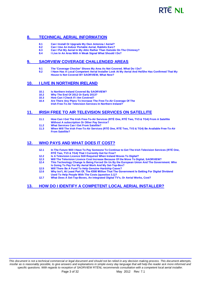# **RTÊ NI**

## <span id="page-2-1"></span>**8. [TECHNICAL AERIAL INFORMATION](#page-19-0)**

- **8.1 Can I Install Or Upgrade My Own Antenna / Aerial?**
- **8.2 Can I Use An Indoor Portable Aerial, Rabbits Ears?**
- **8.3 Can I Put My Aerial In My Attic Rather Than Outside On The Chimney?**
- **8.4 I Live In An Area With A Weak Signal What Should I Do?**

## <span id="page-2-2"></span>**9. [SAORVIEW COVERAGE CHALLENGED AREAS](#page-22-0)**

- **9.1 The 'Coverage Checker' Shows My Area As Not Covered. What Do I Do?**
- **9.2 I Have Has A Local Competent Aerial Installer Look At My Aerial And He/She Has Confirmed That My House Is Not Covered BY SAORVIEW, What Now?**

### <span id="page-2-3"></span>**10. [I LIVE IN NORTHERN IRELAND](#page-24-0)**

- **10.1 Is Northern Ireland Covered By SAORVIEW?**
- **10.2 Why The End Of 2012 Or Early 2013?**
- **10.3 How Can I Check If I Am Covered?**
- **10.4 Are There Any Plans To Increase The Free-To-Air Coverage Of The Irish Free-To-Air Television Services In Northern Ireland?**

## <span id="page-2-4"></span>**11. [IRISH FREE TO AIR TELEVISION SERVICES ON SATELLITE](#page-24-1)**

- **11.1 How Can I Get The Irish Free-To-Air Services (RTÉ One, RTÉ Two, TV3 & TG4) From A Satellite Without A subscription Or Other Pay Service?**
- **11.2 What Services Can I Get From Satellite?**
- **11.3 When Will The Irish Free-To-Air Services (RTÉ One, RTÉ Two, TV3 & TG4) Be Available Free-To-Air From Satellite?**

## <span id="page-2-5"></span>**12. [WHO PAYS AND WHAT DOES IT COST?](#page-26-0)**

- **12.1 In The Future Will I Have To Pay Someone To Continue to Get The Irish Television Services (RTÉ One, RTÉ Two, TV3 & TG4) That I Currently Get for Free?**
- **12.2 Is A Television Licence Still Required When Ireland Moves To Digital?**
- **12.3 Will The Television Licence Cost Increase Because Of the Move To Digital, SAORVIEW?**
- **12.4 This Technology Change Is Being Forced On Us By the European Union And The Government. Who**
- **Is Going To Pay For My Aerial Work And My Set-Top-Box?**
- **12.5 Will There Be A Fund To Help Genuine Hardship Cases? 12.6 Why Isn't, At Least Part Of, The €500 Million That The Government Is Getting For Digital Dividend Used To Help People With The Costs (question 3.1)?**
- **12.7 What Does A Set-Top-Boxes, An integrated Digital TV's, Or Aerial Works, Cost?**

## <span id="page-2-6"></span><span id="page-2-0"></span>**13. [HOW DO I IDENTIFY A COMPETENT LOCAL AERIAL INSTALLER?](#page-29-0)**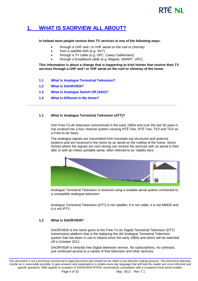# **PTE NIL**

# **1. WHAT [IS SAORVIEW ALL ABOUT?](#page-1-0)**

#### **In Ireland most people receive their TV services in one of the following ways:**

- through a UHF and / or VHF aerial on the roof or chimney
- from a satellite dish (e.g. SKY)
	- through a TV cable (e.g. UPC, Casey Cablevision)
- through a broadband cable (e.g. Magnet, SMART, UPC)

**\_\_\_\_\_\_\_\_\_\_\_\_\_\_\_\_\_\_\_\_\_\_\_\_\_\_\_\_\_\_\_\_\_\_\_\_\_\_\_\_\_\_\_\_\_\_\_\_\_\_\_\_\_\_\_\_\_\_\_\_\_\_\_\_\_\_\_\_\_\_\_\_\_\_\_\_\_\_\_\_\_**

**This information is about a change that is happening to Irish homes that receive their TV services through a UHF and / or VHF aerial on the roof or chimney of the home.** 

- **1.1 What Is Analogue Terrestrial Television?**
- **1.2 What Is SAORVIEW?**
- **1.3 What Is Analogue Switch Off (ASO)?**
- **1.4 What Is Different In My Home?**

#### **1.1 What Is Analogue Terrestrial Television (ATT)?**

Irish Free-To-Air television commenced in the early 1960s and over the last 50 years it has evolved into a four channel system carrying RTÉ One, RTÉ Two, TV3 and TG4 on a Free-to-Air basis.

The analogue signals are transmitted from mountain top structures and antenna systems and are received in the home by an aerial on the rooftop of the home. Some homes where the signals are very strong can receive the services with an aerial in their attic or with an indoor portable aerial, often referred to as 'rabbits ears'.



Analogue Terrestrial Television is received using a suitable aerial system connected to a compatible analogue television.

Analogue Terrestrial Television (ATT) is not satellite, it is not cable, it is not MMDS and it is not IPTV.

#### **1.2 What Is SAORVIEW?**

SAORVIEW is the name given to the Free-To-Air Digital Terrestrial Television (DTT) transmission platform that is the replacing the old Analogue Terrestrial Television system that has been in use in Ireland since the early 1960s and which will be switched off in October 2012.

SAORVIEW is Irelands free Digital television service. No subscriptions, no contracts, just continued access to a variety of free television and other services.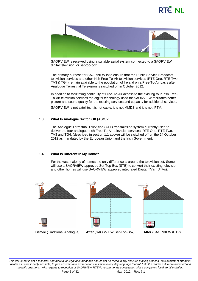# RTE NI



SAORVIEW is received using a suitable aerial system connected to a SAORVIEW digital television, or set-top-box.

The primary purpose for SAORVIEW is to ensure that the Public Service Broadcast television services and other Irish Free-To-Air television services (RTÉ One, RTÉ Two, TV3 & TG4) remain available to the population of Ireland on a Free-To-Air basis after Analogue Terrestrial Television is switched off in October 2012.

In addition to facilitating continuity of Free-To-Air access to the existing four Irish Free-To-Air television services the digital technology used for SAORVIEW facilitates better picture and sound quality for the existing services and capacity for additional services.

SAORVIEW is not satellite, it is not cable, it is not MMDS and it is not IPTV.

#### **1.3 What Is Analogue Switch Off (ASO)?**

The Analogue Terrestrial Television (ATT) transmission system currently used to deliver the four analogue Irish Free-To-Air television services, RTÉ One, RTÉ Two, TV3 and TG4, (described in section 1.1 above) will be switched off on the 24 October 2012 as mandated by the European Union and the Irish Government.

#### **1.4 What Is Different In My Home?**

For the vast majority of homes the only difference is around the television set. Some will use a SAORVIEW approved Set-Top-Box (STB) to convert their existing television and other homes will use SAORVIEW approved integrated Digital TV's (iDTVs).







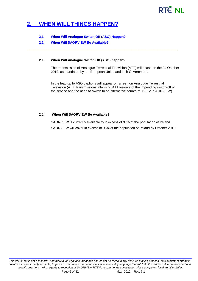# **RTÉ NI**

# <span id="page-5-0"></span>**2. WHEN [WILL THINGS HAPPEN?](#page-1-1)**

### **2.1 When Will Analogue Switch Off (ASO) Happen?**

#### **2.2 When Will SAORVIEW Be Available?**

#### **2.1 When Will Analogue Switch Off (ASO) happen?**

The transmission of Analogue Terrestrial Television (ATT) will cease on the 24 October 2012, as mandated by the European Union and Irish Government.

**\_\_\_\_\_\_\_\_\_\_\_\_\_\_\_\_\_\_\_\_\_\_\_\_\_\_\_\_\_\_\_\_\_\_\_\_\_\_\_\_\_\_\_\_\_\_\_\_\_\_\_\_\_\_\_\_\_\_\_\_\_\_\_\_\_\_\_\_\_\_\_\_\_\_\_\_\_\_\_\_\_**

In the lead up to ASO captions will appear on screen on Analogue Terrestrial Television (ATT) transmissions informing ATT viewers of the impending switch-off of the service and the need to switch to an alternative source of TV (i.e. SAORVIEW).

### 2.2 **When Will SAORVIEW Be Available?**

SAORVIEW is currently available to in excess of 97% of the population of Ireland. SAORVIEW will cover in excess of 98% of the population of Ireland by October 2012.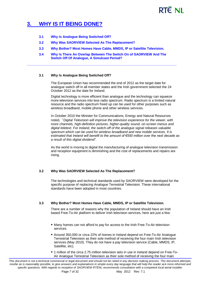# RTE NI

# <span id="page-6-0"></span>**3. WHY [IS IT BEING DONE?](#page-1-2)**

- **3.1 Why Is Analogue Being Switched Off?**
- **3.2 Why Was SAORVIEW Selected As The Replacement?**
- **3.3 Why Bother? Most Homes Have Cable, MMDS, IP or Satellite Television.**
- **3.4 Why Is There An Overlap Between The Switch On of SAORVIEW And The Switch Off Of Analogue, A Simulcast Period?**

**\_\_\_\_\_\_\_\_\_\_\_\_\_\_\_\_\_\_\_\_\_\_\_\_\_\_\_\_\_\_\_\_\_\_\_\_\_\_\_\_\_\_\_\_\_\_\_\_\_\_\_\_\_\_\_\_\_\_\_\_\_\_\_\_\_\_\_\_\_\_\_\_\_\_\_\_\_\_\_\_\_**

### **3.1 Why Is Analogue Being Switched Off?**

The European Union has recommended the end of 2012 as the target date for analogue switch off in all member states and the Irish government selected the 24 October 2012 as the date for Ireland.

Digital technology is more efficient than analogue and the technology can squeeze more television services into less radio spectrum. Radio spectrum is a limited natural resource and the radio spectrum freed up can be used for other purposes such as wireless broadband, mobile phone and other wireless services.

In October 2010 the Minister for Communications, Energy and Natural Resources noted, *"Digital Television will improve the television experience for the viewer, with more channels, high-definition pictures, higher-quality sound, on-screen menus and digital teletext. For Ireland, the switch-off of the analogue signal releases valuable spectrum which can be used for wireless broadband and new mobile services. It is estimated that Ireland will benefit to the amount of €500 million over the next decade as a result of this digital dividend".* 

As the world is moving to digital the manufacturing of analogue television transmission and reception equipment is diminishing and the cost of replacements and repairs are rising.

## **3.2 Why Was SAORVIEW Selected As The Replacement?**

The technologies and technical standards used by SAORVIEW were developed for the specific purpose of replacing Analogue Terrestrial Television. These international standards have been adopted in most countries.

## **3.3 Why Bother? Most Homes Have Cable, MMDS, IP or Satellite Television.**

There are a number of reasons why the population of Ireland should have an Irish based Free-To-Air platform to deliver Irish television services, here are just a few:

- Many homes can not afford to pay for access to the Irish Free-To-Air television services.
- Around 350,000 or circa 22% of homes in Ireland depend on Free-To-Air Analogue Terrestrial Television as their sole method of receiving the four main Irish television services (May 2010). They do not have a pay television service (Cable, MMDS, IP, Satellite, etc).
- 1 million of the circa 2.75 million television sets in use in Ireland depend on Free-To-Air Analogue Terrestrial Television as their sole method of receiving the four main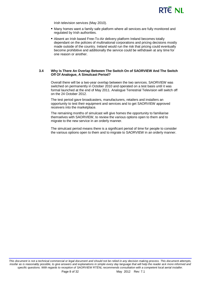

Irish television services (May 2010).

- Many homes want a family safe platform where all services are fully monitored and regulated by Irish authorities.
- Absent an Irish based Free-To-Air delivery platform Ireland becomes totally dependant on the policies of multinational corporations and pricing decisions mostly made outside of the country. Ireland would run the risk that pricing could eventually become prohibitive and additionally the service could be withdrawn at any time for one reason or another.

#### **3.4 Why Is There An Overlap Between The Switch On of SAORVIEW And The Switch Off Of Analogue, A Simulcast Period?**

Overall there will be a two-year overlap between the two services. SAORVIEW was switched on permanently in October 2010 and operated on a test basis until it was formal launched at the end of May 2011. Analogue Terrestrial Television will switch off on the 24 October 2012.

The test period gave broadcasters, manufacturers, retailers and installers an opportunity to test their equipment and services and to get SAORVIEW approved receivers into the marketplace.

The remaining months of simulcast will give homes the opportunity to familiarise themselves with SAORVIEW, to review the various options open to them and to migrate to the new service in an orderly manner.

The simulcast period means there is a significant period of time for people to consider the various options open to them and to migrate to SAORVIEW in an orderly manner.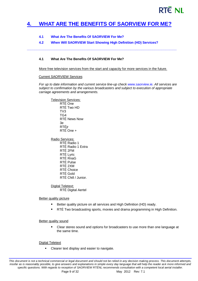# RTE NI

# <span id="page-8-0"></span>**4. [WHAT ARE THE BENEFITS OF SAORVIEW](#page-1-3) FOR ME?**

## **4.1 What Are The Benefits Of SAORVIEW For Me?**

## **4.2 When Will SAORVIEW Start Showing High Definition (HD) Services?**

**\_\_\_\_\_\_\_\_\_\_\_\_\_\_\_\_\_\_\_\_\_\_\_\_\_\_\_\_\_\_\_\_\_\_\_\_\_\_\_\_\_\_\_\_\_\_\_\_\_\_\_\_\_\_\_\_\_\_\_\_\_\_\_\_\_\_\_\_\_\_\_\_\_\_\_\_\_\_\_\_\_**

### **4.1 What Are The Benefits Of SAORVIEW For Me?**

More free television services from the start and capacity for more services in the future.

#### Current SAORVIEW Services

*For up to date information and current service line-up check [www.saorview.ie.](http://www.saorview.ie/) All services are subject to confirmation by the various broadcasters and subject to execution of appropriate carriage agreements and arrangements.*

Television Services: RTÉ One RTÉ Two HD TV3 TG4 RTÉ News Now 3e RTÉjr RTÉ One +

Radio Services: RTÉ Radio 1 RTÉ Radio 1 Extra RTÉ 2FM RTÉ Lyric RTÉ RnaG RTÉ Pulse RTÉ 2XM RTÉ Choice RTÉ Gold RTÉ Chill / Junior.

Digital Teletext: RTÉ Digital Aertel

### Better quality picture

- Better quality picture on all services and High Definition (HD) ready.
- **FILLA** Two broadcasting sports, movies and drama programming in High Definition.

#### Better quality sound

**EXECLEAR** Clear stereo sound and options for broadcasters to use more than one language at the same time.

#### Digital Teletext

**EXEC** Clearer text display and easier to navigate.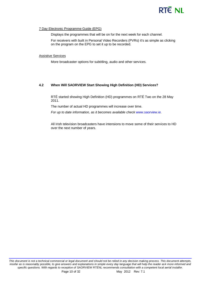# **RTÊ NI**

### 7 Day Electronic Programme Guide (EPG)

Displays the programmes that will be on for the next week for each channel.

For receivers with built in Personal Video Recorders (PVRs) it's as simple as clicking on the program on the EPG to set it up to be recorded.

#### Assistive Services

More broadcaster options for subtitling, audio and other services.

### **4.2 When Will SAORVIEW Start Showing High Definition (HD) Services?**

RTÉ started showing High Definition (HD) programmes on RTÉ Two on the 28 May 2011.

The number of actual HD programmes will increase over time.

*For up to date information, as it becomes available check [www.saorview.ie.](http://www.saorview.ie/)*

<span id="page-9-0"></span>All Irish television broadcasters have intensions to move some of their services to HD over the next number of years.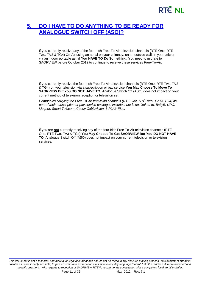# **RTÉ NI**

# **5. [DO I HAVE TO DO ANYTHING](#page-1-4) TO BE READY FOR [ANALOGUE SWITCH OFF \(ASO\)?](#page-1-4)**

If you currently receive any of the four Irish Free-To-Air television channels (RTÉ One, RTÉ Two, TV3 & TG4) Off-Air using an aerial on your chimney, on an outside wall, in your attic or via an indoor portable aerial **You HAVE TO Do Something.** You need to migrate to SAORVIEW before October 2012 to continue to receive these services Free-To-Air.

If you currently receive the four Irish Free-To-Air television channels (RTÉ One, RTÉ Two, TV3 & TG4) on your television via a subscription or pay service **You May Choose To Move To SAORVIEW But You DO NOT HAVE TO**. Analogue Switch Off (ASO) does not impact on your current method of television reception or television set.

*Companies carrying the Free-To-Air television channels (RTÉ One, RTÉ Two, TV3 & TG4) as part of their subscription or pay service packages includes, but is not limited to, BskyB, UPC, Magnet, Smart Telecom, Casey Cablevision, 3 PLAY Plus.* 

If you are **not** currently receiving any of the four Irish Free-To-Air television channels (RTÉ One, RTÉ Two, TV3 & TG4) **You May Choose To Get SAORVIEW But You DO NOT HAVE TO**. Analogue Switch Off (ASO) does not impact on your current television or television services.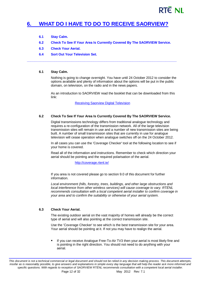# RTE NI

# <span id="page-11-0"></span>**6. WHAT DO I HAVE TO DO [TO RECEIVE SAORVIEW?](#page-1-5)**

- **6.1 Stay Calm.**
- **6.2 Check To See If Your Area Is Currently Covered By The SAORVIEW Service.**

**\_\_\_\_\_\_\_\_\_\_\_\_\_\_\_\_\_\_\_\_\_\_\_\_\_\_\_\_\_\_\_\_\_\_\_\_\_\_\_\_\_\_\_\_\_\_\_\_\_\_\_\_\_\_\_\_\_\_\_\_\_\_\_\_\_\_\_\_\_\_\_\_\_\_\_\_\_\_\_\_\_**

- **6.3 Check Your Aerial.**
- **6.4 Sort Out Your Television Set.**

#### **6.1 Stay Calm.**

Nothing is going to change overnight. You have until 24 October 2012 to consider the options available and plenty of information about the options will be put in the public domain, on television, on the radio and in the news papers.

As an introduction to SAORVIEW read the booklet that can be downloaded from this link:

[Receiving Saorview Digital Television](http://www.rtenl.ie/wp-content/uploads/2011/02/Saorview-DTT-October2010.pdf)

#### **6.2 Check To See If Your Area Is Currently Covered By The SAORVIEW Service.**

Digital transmissions technology differs from traditional analogue technology and requires a re-configuration of the transmission network. All of the large television transmission sites will remain in use and a number of new transmission sites are being built. A number of small transmission sites that are currently in use for analogue television will cease operation when analogue switches off on the 24 October 2012.

In all cases you can use the 'Coverage Checker' tool at the following location to see if your home is covered.

Read all of the information and instructions. Remember to check which direction your aerial should be pointing and the required polarisation of the aerial.

#### <http://coverage.rtenl.ie/>

If you area is not covered please go to section 9.0 of this document for further information.

*Local environment (hills, forestry, trees, buildings, and other large obstructions and local interference from other wireless services) will cause coverage to vary. RTÉNL recommends consultation with a local competent aerial installer to confirm coverage in your area and to confirm the suitability or otherwise of your aerial system.*

#### **6.3 Check Your Aerial.**

The existing outdoor aerial on the vast majority of homes will already be the correct type of aerial and will also pointing at the correct transmission site.

Use the 'Coverage Checker' to see which is the best transmission site for your area. Your aerial should be pointing at it. If not you may have to realign the aerial.

 If you can receive Analogue Free-To-Air TV3 then your aerial is most likely fine and is pointing in the right direction. You should not need to do anything with your aerial.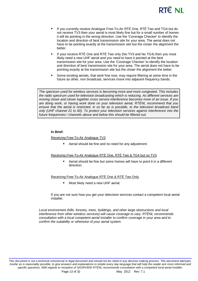# RTÊ NI

- If you currently receive Analogue Free-To-Air RTÉ One, RTÉ Two and TG4 but do not receive TV3 then your aerial is most likely fine but for a small number of homes it will be pointing in the wrong direction. Use the 'Coverage Checker' to identify the location and direction of best transmission site for your area. The aerial does not have to be pointing exactly at the transmission site but the closer the alignment the better.
- If your receive RTÉ One and RTÉ Two only (No TV3 and No TG4) then you most likely need a new UHF aerial and you need to have it pointed at the best transmission site for your area. Use the 'Coverage Checker' to identify the location and direction of best transmission site for your area. The aerial does not have to be pointing exactly at the transmission site but the closer the alignment the better.
- Some existing aerials, that work fine now, may require filtering at some time in the future as other, non broadcast, services move into adjacent frequency bands.

*The spectrum used for wireless services is becoming more and more congested. This includes the radio spectrum used for television broadcasting which is reducing. As different services are moving closer and closer together cross service interference becomes more of an issue. If you are doing work, or having work done on your television aerial, RTÉNL recommend that you ensure that the aerial is restricted, in so far as is possible, to the television broadcast band only (UHF channel 21 to 60). To protect your television services against interference into the future frequencies / channels above and below this should be filtered out.*

#### **In Brief:**

#### Receiving Free-To-Air Analogue TV3

Aerial should be fine and no need for any adjustment.

#### Receiving Free-To-Air Analogue RTÉ One, RTÉ Two & TG4 but no TV3

 Aerial should be fine but some homes will have to point it in a different direction.

#### Receiving Free-To-Air Analogue RTÉ One & RTÉ Two Only

Most likely need a new UHF aerial.

If you are not sure how you get your television services contact a competent local aerial installer.

*Local environment (hills, forestry, trees, buildings, and other large obstructions and local interference from other wireless services) will cause coverage to vary. RTÉNL recommends consultation with a local competent aerial installer to confirm coverage in your area and to confirm the suitability or otherwise of your aerial system.*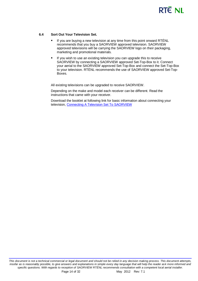# **RTÊ NI**

#### **6.4 Sort Out Your Television Set.**

- If you are buying a new television at any time from this point onward RTÉNL recommends that you buy a SAORVIEW approved television. SAORVIEW approved televisions will be carrying the SAORVIEW logo on their packaging, marketing and promotional materials.
- If you wish to use an existing television you can upgrade this to receive SAORVIEW by connecting a SAORVIEW approved Set-Top-Box to it. Connect your aerial to the SAORVIEW approved Set-Top-Box and connect the Set-Top-Box to your television. RTÉNL recommends the use of SAORVIEW approved Set-Top-Boxes.

All existing televisions can be upgraded to receive SAORVIEW.

Depending on the make and model each receiver can be different. Read the instructions that came with your receiver.

<span id="page-13-0"></span>Download the booklet at following link for basic information about connecting your television, [Connecting A Television Set To SAORVIEW](http://www.rtenl.ie/wp-content/uploads/2011/02/connecting_a_television_set_to_saorview.pdf)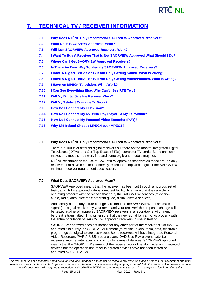# **RTÉ NL**

# **7. [TECHNICAL TV / RECEIVER INFORMATION](#page-1-6)**

- **7.1 Why Does RTÉNL Only Recommend SAORVIEW Approved Receivers?**
- **7.2 What Does SAORVIEW Approved Mean?**
- **7.3 Will Non SAORVIEW Approved Receivers Work?**
- **7.4 I Want To Buy A Receiver That Is Not SAORVIEW Approved What Should I Do?**
- **7.5 Where Can I Get SAORVIEW Approved Receivers?**
- **7.6 Is There An Easy Way To Identify SAORVIEW Approved Receivers?**
- **7.7 I Have A Digital Television But Am Only Getting Sound. What Is Wrong?**
- **7.8 I Have A Digital Television But Am Only Getting Video/Pictures. What is wrong?**
- **7.9 I Have An MPEG4 Television, Will It Work?**
- **7.10 I Can See Everything Else. Why Can't I See RTÉ Two?**
- **7.11 Will My Digital Satellite Receiver Work?**
- **7.12 Will My Teletext Continue To Work?**
- **7.13 How Do I Connect My Television?**
- **7.14 How Do I Connect My DVD/Blu-Ray Player To My Television?**
- **7.15 How Do I Connect My Personal Video Recorder (PVR)?**
- **7.16 Why Did Ireland Choose MPEG4 over MPEG2?**

## **7.1 Why Does RTÉNL Only Recommend SAORVIEW Approved Receivers?**

**\_\_\_\_\_\_\_\_\_\_\_\_\_\_\_\_\_\_\_\_\_\_\_\_\_\_\_\_\_\_\_\_\_\_\_\_\_\_\_\_\_\_\_\_\_\_\_\_\_\_\_\_\_\_\_\_\_\_\_\_\_\_\_\_\_\_\_\_\_\_\_\_\_\_\_\_\_\_\_\_\_\_\_\_\_\_\_\_\_\_\_\_\_\_\_\_\_\_\_\_\_\_\_\_\_\_\_\_\_\_\_\_\_\_\_**

There are 1000s of different digital receivers out there on the market, integrated Digital Televisions (iDTVs) and Set-Top-Boxes (STBs), computer TV cards. Some unknown makes and models may work fine and some big brand models may not.

RTÉNL recommends the use of SAORVIEW approved receivers as these are the only receivers that have been independently tested for compliance against the SAORVIEW minimum receiver requirement specification.

## **7.2 What Does SAORVIEW Approved Mean?**

SAORVEW Approved means that the receiver has been put through a rigorous set of tests, at an RTÉ approved independent test facility, to ensure that it is capable of operating properly with the signals that carry the SAORVIEW services (television, audio, radio, data, electronic program guide, digital teletext services).

Additionally before any future changes are made to the SAORVIEW transmission signal (the signal received by your aerial and your receiver) the proposed change will be tested against all approved SAORVIEW receivers in a laboratory environment before it is transmitted. This will ensure that the new signal format works properly with the entire population of SAORVIEW approved receivers in use in Ireland.

SAORVIEW approved does not mean that any other part of the receiver is SAORVIEW approved it is purely the SAORVIEW element (television, audio, radio, data, electronic program guide, digital teletext services). Some receivers will have integrated Personal Video Recorders (PVRs), USB media players, DVD/Blue Ray players, satellite receivers, internet interfaces and / or combinations of devices. SAORVIEW approved means that the SAORVIEW element of the receiver works fine alongside any integrated devices but the operation and other integrated devices have not been tested or approved by SAORVIEW.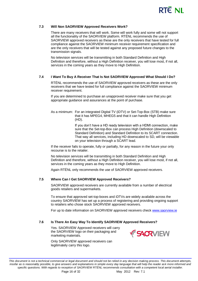

#### **7.3 Will Non SAORVIEW Approved Receivers Work?**

There are many receivers that will work. Some will work fully and some will not support all the functionality of the SAORVIEW platform. RTÉNL recommends the use of SAORVIEW approved receivers as these are the only receivers that have tested for full compliance against the SAORVIEW minimum receiver requirement specification and are the only receivers that will be tested against any proposed future changes to the transmission signals.

No television services will be transmitting in both Standard Definition and High Definition and therefore, without a High Definition receiver, you will lose most, if not all, services in the coming years as they move to High Definition.

#### **7.4 I Want To Buy A Receiver That Is Not SAORVIEW Approved What Should I Do?**

RTÉNL recommends the use of SAORVIEW approved receivers as these are the only receivers that we have tested for full compliance against the SAORVIEW minimum receiver requirement.

If you are determined to purchase an unapproved receiver make sure that you get appropriate guidance and assurances at the point of purchase.

As a minimum: For an integrated Digital TV (iDTV) or Set-Top-Box (STB) make sure that it has MPEG4, MHEG5 and that it can handle High Definition (HD).

> If you don't have a HD ready television with a HDMI connection, make sure that the Set-top-Box can process High Definition (downscaled to Standard Definition) and Standard Definition to its SCART connection. That way all services, including HD downscaled to SD, will be viewable on your television through a SCART lead.

If the receiver fails to operate, fully or partially, for any reason in the future your only recourse is to the retailer.

No television services will be transmitting in both Standard Definition and High Definition and therefore, without a High Definition receiver, you will lose most, if not all, services in the coming years as they move to High Definition.

Again RTÉNL only recommends the use of SAORVIEW approved receivers.

#### **7.5 Where Can I Get SAORVIEW Approved Receivers?**

SAORVIEW approved receivers are currently available from a number of electrical goods retailers and supermarkets.

To ensure that approved set-top-boxes and iDTVs are widely available across the country SAORVIEW has set up a process of registering and providing ongoing support to retailers who chose stock SAORVIEW approved receivers.

For up to date information on SAORVIEW approved receivers check [www.saorview.ie](http://www.saorview.ie/)

#### **7.6 Is There An Easy Way To Identify SAORVIEW Approved Receivers?**

Yes. SAORVIEW Approved receivers will carry the SAORVIEW logo on their packaging and marketing materials.

Only SAORVIEW approved receivers can legitimately carry this logo.



*This document is not a technical commercial or legal document and should not be relied in any decision making process. This document attempts,*  insofar as is reasonably possible, to give answers and explanations in simple every day language that will help the reader ask more informed and *specific questions. With regards to reception of SAORVIEW RTÉNL recommends consultation with a competent local aerial installer.*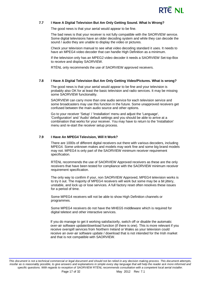

#### **7.7 I Have A Digital Television But Am Only Getting Sound. What Is Wrong?**

The good news is that your aerial would appear to be fine.

The bad news is that your receiver is not fully compatible with the SAORVIEW service. Some digital televisions have an older decoding system and while they can decode the sound / audio they are unable to display the video or pictures.

Check your television manual to see what video decoding standard it uses. It needs to have an MPEG4 video decoder that can handle High Definition as a minimum.

If the television only has an MPEG2 video decoder it needs a SAORVIEW Set-top-Box to receive and display SAORVIEW.

RTÉNL only recommends the use of SAORVIEW approved receivers.

#### **7.8 I Have A Digital Television But Am Only Getting Video/Pictures. What is wrong?**

The good news is that your aerial would appear to be fine and your television is probably also OK for at least the basic television and radio services. It may be missing some SAORVIEW functionality.

SAORVIEW can carry more than one audio service for each television service and some broadcasters may use this function in the future. Some unapproved receivers get confused between the main audio source and other options.

Go to your receiver 'Setup' / 'Installation' menu and adjust the 'Language', 'Configuration' and 'Audio' default settings and you should be able to arrive at a combination that works for your receiver. You may have to return to the 'Installation' menu and re-start the receiver setup process.

#### **7.9 I Have An MPEG4 Television, Will It Work?**

There are 1000s of different digital receivers out there with various decoders, including MPEG4. Some unknown makes and models may work fine and some big brand models may not. MPEG4 is only part of the SAORVIEW minimum receiver requirement specification.

RTÉNL recommends the use of SAORVIEW Approved receivers as these are the only receivers that have been tested for compliance with the SAORVIEW minimum receiver requirement specification.

The only way to confirm if your, non SAORVIEW Approved, MPEG4 television works is to try it out. The majority of MPEG4 receivers will work but some may be a bit jittery, unstable, and lock up or lose services. A full factory reset often resolves these issues for a period of time.

Some MPEG4 receivers will not be able to show High Definition channels or programmes.

Some MPEG4 receivers do not have the MHEG5 middleware which is required for digital teletext and other interactive services.

If you do manage to get it working satisfactorily, switch off or disable the automatic over-air software update/download function (if there is one). This is more relevant if you receive overspill services from Northern Ireland or Wales as your television could receive an over-air software update / download that is not intended for the Irish market and that is not compatible with SAORVIEW.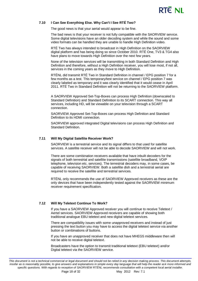

#### **7.10 I Can See Everything Else. Why Can't I See RTÉ Two?**

The good news is that your aerial would appear to be fine.

The bad news is that your receiver is not fully compatible with the SAORVIEW service. Some digital televisions have an older decoding system and while the sound and some video formats can be handled they are unable to handle High Definition video.

RTÉ Two has always intended to broadcast in High Definition on the SAORVIEW digital platform and has being doing so since October 2010. RTÉ One, TV3 & TG4 also have plans to move towards High Definition over the next few years.

None of the television services will be transmitting in both Standard Definition and High Definition and therefore, without a High Definition receiver, you will lose most, if not all, services in the coming years as they move to High Definition.

RTÉNL did transmit RTÉ Two in Standard Definition in channel / EPG position 7 for a few months as a test. This temporary/test service on channel / EPG position 7 was clearly labeled as temporary and it was clearly identified that it would cease in April 2011. RTÉ Two in Standard Definition will not be returning to the SAORVIEW platform.

A SAORVIEW Approved Set-Top-Boxes can process High Definition (downscaled to Standard Definition) and Standard Definition to its SCART connection. This way all services, including HD, will be viewable on your television through a SCART connection.

SAORVIEW Approved Set-Top-Boxes can process High Definition and Standard Definition to its HDMI connection.

SAORVIEW approved integrated Digital televisions can process High Definition and Standard Definition.

#### **7.11 Will My Digital Satellite Receiver Work?**

SAORVIEW is a terrestrial service and its signal differs to that used for satellite services. A satellite receiver will not be able to decode SAORVIEW and will not work.

There are some combination receivers available that have inbuilt decoders for the signals of both terrestrial and satellite transmissions (satellite broadband, VOIP telephone, television etc. services). The terrestrial decoders may, in some cases, be capable of receiving SAORVIEW. Both a satellite dish and a terrestrial aerial are required to receive the satellite and terrestrial services.

RTÉNL only recommends the use of SAORVIEW Approved receivers as these are the only devices that have been independently tested against the SAORVIEW minimum receiver requirement specification.

#### **7.12 Will My Teletext Continue To Work?**

If you have a SAORVIEW Approved receiver you will continue to receive Teletext / Aertel services. SAORVIEW Approved receivers are capable of showing both traditional analogue EBU teletext and new digital teletext services.

There are compatibility issues with some unapproved receivers and instead of just pressing the text button you may have to access the digital teletext service via another button or combinations of buttons.

If you have an unapproved receiver that does not have MHEG5 middleware then will not be able to receive digital teletext.

Broadcasters have the option to transmit traditional teletext (EBU teletext) and/or Digital teletext via the SAORVIEW service.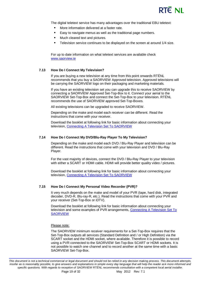

The digital teletext service has many advantages over the traditional EBU teletext:

- More information delivered at a faster rate.
- **Easy to navigate menus as well as the traditional page numbers.**
- **Much cleared text and pictures.**
- Television service continues to be displayed on the screen at around 1/4 size.

For up to date information on what teletext services are available check [www.saorview.ie](http://www.saorview.ie/)

#### **7.13 How Do I Connect My Television?**

If you are buying a new television at any time from this point onwards RTÉNL recommends that you buy a SAORVIEW Approved television. Approved televisions will be carrying the SAORVIEW logo on their packaging and marketing materials.

If you have an existing television set you can upgrade this to receive SAORVIEW by connecting a SAORVIEW Approved Set-Top-Box to it. Connect your aerial to the SAORVIEW Set-Top-Box and connect the Set-Top-Box to your television. RTÉNL recommends the use of SAORVIEW approved Set-Top-Boxes.

All existing televisions can be upgraded to receive SAORVIEW.

Depending on the make and model each receiver can be different. Read the instructions that come with your receiver.

Download the booklet at following link for basic information about connecting your television, [Connecting A Television Set To SAORVIEW](http://www.rtenl.ie/wp-content/uploads/2011/02/connecting_a_television_set_to_saorview.pdf)

#### **7.14 How Do I Connect My DVD/Blu-Ray Player To My Television?**

Depending on the make and model each DVD / Blu-Ray Player and television can be different. Read the instructions that come with your television and DVD / Blu-Ray Player.

For the vast majority of devices, connect the DVD / Blu-Ray Player to your television with either a SCART or HDMI cable. HDMI will provide better quality video / pictures.

Download the booklet at following link for basic information about connecting your television, [Connecting A Television Set To](http://www.rtenl.ie/wp-content/uploads/2011/02/connecting_a_television_set_to_saorview.pdf) SAORVIEW

#### **7.15 How Do I Connect My Personal Video Recorder (PVR)?**

It very much depends on the make and model of your PVR (tape, hard disk, integrated decoder, DVD-R, Blu-ray-R, etc.). Read the instructions that come with your PVR and your receiver (Set-Top-Box or iDTV).

Download the booklet at following link for basic information about connecting your television and some examples of PVR arrangements, [Connecting A Television Set To](http://www.rtenl.ie/wp-content/uploads/2011/02/connecting_a_television_set_to_saorview.pdf)  **[SAORVIEW](http://www.rtenl.ie/wp-content/uploads/2011/02/connecting_a_television_set_to_saorview.pdf)** 

#### Please note:

The SAORVIEW minimum receiver requirements for a Set-Top-Box requires that the Set-Top-Box outputs all services (Standard Definition and / or High Definition) via the SCART socket and the HDMI socket, where available. Therefore it is possible to record using a PVR connected to the SAORVIEW Set-Top-Box SCART or HDMI sockets. It is not possible to watch one channel and to record another at the same time with a basic SAORVIEW Set-Top-Box.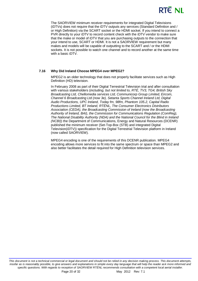

The SAORVIEW minimum receiver requirements for integrated Digital Televisions (iDTVs) does not require that the iDTV outputs any services (Standard Definition and / or High Definition) via the SCART socket or the HDMI socket. If you intend to connect a PVR directly to your iDTV to record content check with the iDTV vendor to make sure that the make or model of iDTV that you are purchasing outputs to the connection that your intend to use, SCART or HDMI. It is not a SAORVIEW requirement but many makes and models will be capable of outputting to the SCART and / or the HDMI sockets. It is not possible to watch one channel and to record another at the same time with a basic iDTV.

#### **7.16 Why Did Ireland Choose MPEG4 over MPEG2?**

MPEG2 is an older technology that does not properly facilitate services such as High Definition (HD) television.

In February 2008 as part of their Digital Terrestrial Television trial and after consultation with various stakeholders (*including, but not limited to, RTÉ, TV3, TG4, British Sky Broadcasting Ltd, Chellomedia services Ltd, Communicorp Group Limited, Eircom, Channel 6 Broadcasting Ltd (now 3e), Setanta Sports Channel Ireland Ltd, Digital Audio Productions, UPC Ireland, Today fm, 98fm, Phantom 105.2, Capital Radio Productions Limited, BT Ireland, RTÉNL, The Consumer Electronics Distributors Association (CEDA), the Broadcasting Commission of Ireland (now the Broadcasting Authority of Ireland, BAI), the Commission for Communications Regulation (ComReg), The National Disability Authority (NDA) and the National Council for the Blind in Ireland (NCBI)*) the Department of Communications, Energy and Natural Resources (DCENR) published the minimum receiver (Set-Top-Box (STB) and integrated Digital Television(iDTV)) specification for the Digital Terrestrial Television platform in Ireland (now called SAORVIEW).

<span id="page-19-0"></span>MPEG4 encoding is one of the requirements of this DCENR publication. MPEG4 encoding allows more services to fit into the same spectrum or space than MPEG2 and also better facilitates the detail required for High Definition television services.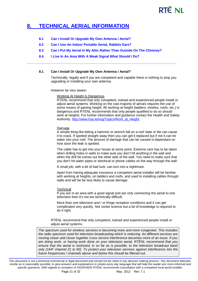# RTE NI

# **8. [TECHNICAL AERIAL INFORMATION](#page-2-1)**

- **8.1 Can I Install Or Upgrade My Own Antenna / Aerial?**
- **8.2 Can I Use An Indoor Portable Aerial, Rabbits Ears?**
- **8.3 Can I Put My Aerial In My Attic Rather Than Outside On The Chimney?**

**\_\_\_\_\_\_\_\_\_\_\_\_\_\_\_\_\_\_\_\_\_\_\_\_\_\_\_\_\_\_\_\_\_\_\_\_\_\_\_\_\_\_\_\_\_\_\_\_\_\_\_\_\_\_\_\_\_\_\_\_\_\_\_\_\_\_\_\_\_\_\_\_\_\_\_\_\_\_\_\_\_**

**8.4 I Live In An Area With A Weak Signal What Should I Do?**

#### **8.1 Can I Install Or Upgrade My Own Antenna / Aerial?**

Technically, legally and if you are competent and capable there is nothing to stop you upgrading or installing your own antenna.

However be very aware:

Working At Height Is Dangerous

RTÉNL recommend that only competent, trained and experienced people install or adjust aerial systems. Working on the vast majority of aerials requires the use of some means of gaining height. All working at height (ladders, trestles, roofs, etc.) is dangerous and RTÉNL recommends that only people qualified to do so should work at heights. For further information and guidance contact the Health and Safety Authority. [http://www.hsa.ie/eng/Topics/Work\\_at\\_Height.](http://www.hsa.ie/eng/Topics/Work_at_Height)

#### Damage

A simple thing like letting a hammer or wrench fall on a roof slate or tile can cause it to crack. If spotted straight away then you can get it replaced but if not it can let water into your roof. The amount of damage that can be caused is dependant on how soon the leak is spotted.

The cable has to get into your house at some point. Extreme care has to be taken when drilling holes in walls to make sure you don't hit anything in the wall and when the drill bit comes out the other side of the wall. You need to make sure that you don't hit water pipes or electrical or phone cables on the way through the wall.

A small job, with a bit of bad luck, can turn into a nightmare.

Apart from having adequate insurance a competent aerial installer will be familiar with working at heights, on ladders and roofs, and used to installing cables through walls and will be far less likely to cause damage.

#### **Technical**

If you are in an area with a good signal and are only connecting the aerial to one television then it's not too technically difficult.

More than one television and / or fringe reception conditions and it can get complicated very quickly. Not rocket science but a bit of knowledge is required to do it right.

RTÉNL recommend that only competent, trained and experienced people install or adjust aerial systems.

*The spectrum used for wireless services is becoming more and more congested. This includes the radio spectrum used for television broadcasting which is reducing. As different services are moving closer and closer together cross service interference becomes more of an issue. If you are doing work, or having work done on your television aerial, RTÉNL recommend that you ensure that the aerial is restricted, in so far as is possible, to the television broadcast band only (UHF channel 21 to 60). To protect your television services against interference into the future frequencies / channels above and below this should be filtered out.*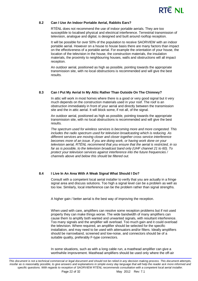

#### **8.2 Can I Use An Indoor Portable Aerial, Rabbits Ears?**

RTÉNL does not recommend the use of indoor portable aerials. They are too susceptible to localised physical and electrical interference. Terrestrial transmission of television, analogue and digital, is designed and built around rooftop reception.

It will be possible for over 50% of the population to receive SAORVIEW with an indoor portable aerial. However on a house to house basis there are many factors than impact on the effectiveness of a portable aerial. For example the orientation of your house, the location of the television in the house, the construction materials, the insulation materials, the proximity to neighbouring houses, walls and obstructions will all impact reception.

An outdoor aerial, positioned as high as possible, pointing towards the appropriate transmission site, with no local obstructions is recommended and will give the best results.

#### **8.3 Can I Put My Aerial In My Attic Rather Than Outside On The Chimney?**

In attic will work in most homes where there is a good or very good signal but it very much depends on the construction materials used in your roof. The roof is an obstruction immediately in front of your aerial and directly between the transmission site and the in attic aerial. It will block some, if not all, of the signal.

An outdoor aerial, positioned as high as possible, pointing towards the appropriate transmission site, with no local obstructions is recommended and will give the best results.

*The spectrum used for wireless services is becoming more and more congested. This includes the radio spectrum used for television broadcasting which is reducing. As different services are moving closer and closer together cross service interference becomes more of an issue. If you are doing work, or having work done on your television aerial, RTÉNL recommend that you ensure that the aerial is restricted, in so far as is possible, to the television broadcast band only (UHF channel 21 to 60). To protect your television services against interference into the future frequencies / channels above and below this should be filtered out.*

#### **8.4 I Live In An Area With A Weak Signal What Should I Do?**

Consult with a competent local aerial installer to verify that you are actually in a fringe signal area and discuss solutions. Too high a signal level can be a problem as well as too low. Similarly, local interference can be the problem rather than signal strengths.

A higher gain / better aerial is the best way of improving the reception.

When used with care, amplifiers can resolve some reception problems but if not used properly they can make things worse. The wide bandwidth of many amplifiers can cause them to amplify both wanted and unwanted signals, with resultant interference. Too many signals and the amplifier will overload. Too much gain and it could overload the television. Where required, an amplifier should be selected for the specific installation, and may need to be used with attenuators and/or filters. Ideally amplifiers should be narrowband, screened and low-noise, and connectors should be of a suitable quality, preferably F-type connectors.

In some situations, such as with a long cable run, a masthead amplifier can give a worthwhile improvement. Masthead amplifiers should be used only where the off-air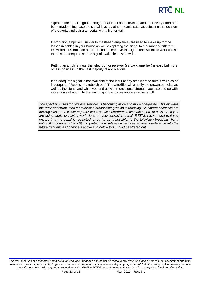# RTÊ NI

signal at the aerial is good enough for at least one television and after every effort has been made to increase the signal level by other means, such as adjusting the location of the aerial and trying an aerial with a higher gain.

Distribution amplifiers, similar to masthead amplifiers, are used to make up for the losses in cables in your house as well as splitting the signal to a number of different televisions. Distribution amplifiers do not improve the signal and will fail to work unless there is an adequate source signal available to work with.

Putting an amplifier near the television or receiver (setback amplifier) is easy but more or less pointless in the vast majority of applications.

If an adequate signal is not available at the input of any amplifier the output will also be inadequate. "Rubbish in, rubbish out". The amplifier will amplify the unwanted noise as well as the signal and while you end up with more signal strength you also end up with more noise strength. In the vast majority of cases you are no better off.

<span id="page-22-0"></span>*The spectrum used for wireless services is becoming more and more congested. This includes the radio spectrum used for television broadcasting which is reducing. As different services are moving closer and closer together cross service interference becomes more of an issue. If you are doing work, or having work done on your television aerial, RTÉNL recommend that you ensure that the aerial is restricted, in so far as is possible, to the television broadcast band only (UHF channel 21 to 60). To protect your television services against interference into the future frequencies / channels above and below this should be filtered out.*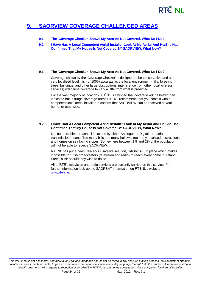# **9. [SAORVIEW COVERAGE CHALLENGED AREAS](#page-2-2)**

**9.1 The 'Coverage Checker' Shows My Area As Not Covered. What Do I Do?**

**9.2 I Have Has A Local Competent Aerial Installer Look At My Aerial And He/She Has Confirmed That My House Is Not Covered BY SAORVIEW, What Now?**

#### **9.1 The 'Coverage Checker' Shows My Area As Not Covered. What Do I Do?**

**\_\_\_\_\_\_\_\_\_\_\_\_\_\_\_\_\_\_\_\_\_\_\_\_\_\_\_\_\_\_\_\_\_\_\_\_\_\_\_\_\_\_\_\_\_\_\_\_\_\_\_\_\_\_\_\_\_\_\_\_\_\_\_\_\_\_\_\_\_\_\_\_\_\_\_\_\_\_\_\_\_**

Coverage shown by the 'Coverage Checker' is designed to be conservative and at a very localised level it is not 100% accurate as the local environment (hills, forestry, trees, buildings, and other large obstructions, interference from other local wireless services) will cause coverage to vary a little from what is predicted.

For the vast majority of locations RTÉNL is satisfied that coverage will be better than indicated but in fringe coverage areas RTÉNL recommend that you consult with a competent local aerial installer to confirm that SAORVIEW can be received at your home, or otherwise.

#### **9.2 I Have Had A Local Competent Aerial Installer Look At My Aerial And He/She Has Confirmed That My House Is Not Covered BY SAORVIEW, What Now?**

It is not possible to reach all locations by either Analogue or Digital terrestrial transmission means. Too many hills, too many hollows, too many localised obstructions and homes on sea facing slopes. Somewhere between 1% and 2% of the population will not be able to receive SAORVIEW.

RTENL has put a new Free-To-Air satellite solution, SAORSAT, in place which makes it possible for Irish broadcasters (television and radio) to reach every home in Ireland Free-To-Air should they wish to do so.

All of RTÉ's television and radio services are currently carried on this service. For further information look up the SAORSAT information on RTÉNL's website [www.rtenl.ie.](http://www.rtenl.ie/)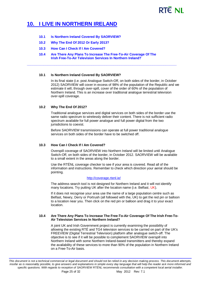# RTÊ NI

# <span id="page-24-0"></span>**10. [I LIVE IN NORTHERN IRELAND](#page-2-3)**

- **10.1 Is Northern Ireland Covered By SAORVIEW?**
- **10.2 Why The End Of 2012 Or Early 2013?**
- **10.3 How Can I Check If I Am Covered?**
- **10.4 Are There Any Plans To Increase The Free-To-Air Coverage Of The Irish Free-To-Air Television Services In Northern Ireland?**

**\_\_\_\_\_\_\_\_\_\_\_\_\_\_\_\_\_\_\_\_\_\_\_\_\_\_\_\_\_\_\_\_\_\_\_\_\_\_\_\_\_\_\_\_\_\_\_\_\_\_\_\_\_\_\_\_\_\_\_\_\_\_\_\_\_\_\_\_\_\_\_\_\_\_\_\_\_\_\_\_\_**

#### **10.1 Is Northern Ireland Covered By SAORVIEW?**

In its final state (i.e. post Analogue Switch-Off, on both sides of the border, in October 2012) SAORVIEW will cover in excess of 98% of the population of the Republic and we estimate it will, through over-spill, cover of the order of 60% of the population of Northern Ireland. This is an increase over traditional analogue terrestrial television over-spill coverage.

#### **10.2 Why The End Of 2012?**

Traditional analogue services and digital services on both sides of the border use the same radio spectrum to wirelessly deliver their content. There is not sufficient radio spectrum available for full power analogue and full power digital from the two jurisdictions to coexist.

Before SAORVIEW transmissions can operate at full power traditional analogue services on both sides of the border have to be switched off.

#### **10.3 How Can I Check If I Am Covered?**

Overspill coverage of SAORVIEW into Northern Ireland will be limited until Analogue Switch-Off, on both sides of the border, in October 2012. SAORVIEW will be available to a small extent in the areas along the border.

Use the RTÉNL coverage checker to see if your area is covered. Read all of the information and instructions. Remember to check which direction your aerial should be pointing.

#### <http://coverage.rtenl.ie/>

The address search tool is not designed for Northern Ireland and it will not identify many locations. Try putting UK after the location name (i.e. Belfast, UK).

If it does not recognise your area use the name of a large population centre such as Belfast, Newry, Derry or Portrush (all followed with the, UK) to get the red pin or balloon to a location near you. Then click on the red pin or balloon and drag it to your exact location.

#### **10.4 Are There Any Plans To Increase The Free-To-Air Coverage Of The Irish Free-To-Air Television Services In Northern Ireland?**

<span id="page-24-1"></span>A joint UK and Irish Government project is currently examining the possibility of allowing the existing RTÉ and TG4 television services to be carried on part of the UK's FREEVIEW (Digital Terrestrial Television) platform after analogue switch-off. The objective is to see if it will be possible to complement SAORVIEW overspill into Northern Ireland with some Northern Ireland-based transmitters and thereby expand the availability of these services to more than 90% of the population in Northern Ireland on a Free-To-Air basis.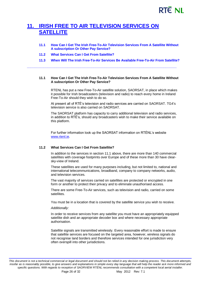# **11. [IRISH FREE TO AIR TELEVISION SERVICES ON](#page-2-4)  [SATELLITE](#page-2-4)**

- **11.1 How Can I Get The Irish Free-To-Air Television Services From A Satellite Without A subscription Or Other Pay Service?**
- **11.2 What Services Can I Get From Satellite?**
- **11.3 When Will The Irish Free-To-Air Services Be Available Free-To-Air From Satellite?**

**\_\_\_\_\_\_\_\_\_\_\_\_\_\_\_\_\_\_\_\_\_\_\_\_\_\_\_\_\_\_\_\_\_\_\_\_\_\_\_\_\_\_\_\_\_\_\_\_\_\_\_\_\_\_\_\_\_\_\_\_\_\_\_\_\_\_\_\_\_\_\_\_\_\_\_\_\_\_\_\_\_**

#### **11.1 How Can I Get The Irish Free-To-Air Television Services From A Satellite Without A subscription Or Other Pay Service?**

RTENL has put a new Free-To-Air satellite solution, SAORSAT, in place which makes it possible for Irish broadcasters (television and radio) to reach every home in Ireland Free-To-Air should they wish to do so.

At present all of RTÉ's television and radio services are carried on SAORSAT. TG4's television service is also carried on SAORSAT.

The SAORSAT platform has capacity to carry additional television and radio services, in addition to RTÉ's, should any broadcasters wish to make their service available on this platform.

For further information look up the SAORSAT information on RTÉNL's website [www.rtenl.ie.](http://www.rtenl.ie/)

#### **11.2 What Services Can I Get From Satellite?**

In addition to the services in section 11.1 above, there are more than 140 commercial satellites with coverage footprints over Europe and of these more than 30 have clearsky-view of Ireland.

These satellites are used for many purposes including, but not limited to, national and international telecommunications, broadband, company to company networks, audio, and television services.

The vast majority of services carried on satellites are protected or encrypted in one form or another to protect their privacy and to eliminate unauthorised access.

There are some Free-To-Air services, such as television and radio, carried on some satellites.

You must be in a location that is covered by the satellite service you wish to receive.

#### *Additionally:*

In order to receive services from any satellite you must have an appropriately equipped satellite dish and an appropriate decoder box and where necessary appropriate authorisation.

Satellite signals are transmitted wirelessly. Every reasonable effort is made to ensure that satellite services are focused on the targeted area, however, wireless signals do not recognise land borders and therefore services intended for one jurisdiction very often overspill into other jurisdictions.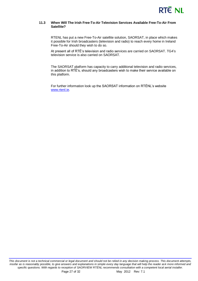

#### **11.3 When Will The Irish Free-To-Air Television Services Available Free-To-Air From Satellite?**

RTENL has put a new Free-To-Air satellite solution, SAORSAT, in place which makes it possible for Irish broadcasters (television and radio) to reach every home in Ireland Free-To-Air should they wish to do so.

At present all of RTÉ's television and radio services are carried on SAORSAT. TG4's television service is also carried on SAORSAT.

The SAORSAT platform has capacity to carry additional television and radio services, in addition to RTÉ's, should any broadcasters wish to make their service available on this platform.

<span id="page-26-0"></span>For further information look up the SAORSAT information on RTÉNL's website [www.rtenl.ie.](http://www.rtenl.ie/)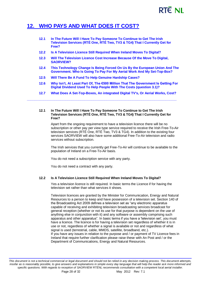# **RTÉ NI**

# **12. [WHO PAYS AND WHAT DOES IT COST?](#page-2-5)**

| 12.1 | In The Future Will I Have To Pay Someone To Continue to Get The Irish<br>Television Services (RTÉ One, RTÉ Two, TV3 & TG4) That I Currently Get for<br>Free? |
|------|--------------------------------------------------------------------------------------------------------------------------------------------------------------|
| 12.2 | Is A Television Licence Still Required When Ireland Moves To Digital?                                                                                        |
| 12.3 | Will The Television Licence Cost Increase Because Of the Move To Digital,<br><b>SAORVIEW?</b>                                                                |
| 12.4 | This Technology Change Is Being Forced On Us By the European Union And The<br>Government. Who Is Going To Pay For My Aerial Work And My Set-Top-Box?         |

- **12.5 Will There Be A Fund To Help Genuine Hardship Cases?**
- **12.6 Why Isn't, At Least Part Of, The €500 Million That The Government Is Getting For Digital Dividend Used To Help People With The Costs (question 3.1)?**
- **12.7 What Does A Set-Top-Boxes, An integrated Digital TV's, Or Aerial Works, Cost?**

#### **12.1 In The Future Will I Have To Pay Someone To Continue to Get The Irish Television Services (RTÉ One, RTÉ Two, TV3 & TG4) That I Currently Get for Free?**

**\_\_\_\_\_\_\_\_\_\_\_\_\_\_\_\_\_\_\_\_\_\_\_\_\_\_\_\_\_\_\_\_\_\_\_\_\_\_\_\_\_\_\_\_\_\_\_\_\_\_\_\_\_\_\_\_\_\_\_\_\_\_\_\_\_\_\_\_\_\_\_\_\_\_\_\_\_\_\_\_\_**

Apart from the ongoing requirement to have a television licence there will be no subscription or other pay per view type service required to receive the Irish Free-To-Air television services (RTÉ One, RTÉ Two, TV3 & TG4). In addition to the existing four services SAORVIEW will also have some additional Free-To-Air television and radio services without subscription.

The Irish services that you currently get Free-To-Air will continue to be available to the population of Ireland on a Free-To-Air basis.

You do not need a subscription service with any party.

You do not need a contract with any party.

#### **12.2 Is A Television Licence Still Required When Ireland Moves To Digital?**

Yes a television licence is still required. In basic terms the Licence if for having the television set rather than what services it shows.

Television licences are granted by the Minister for Communication, Energy and Natural Resources to a person to keep and have possession of a television set. Section 140 of the Broadcasting Act 2009 defines a television set as "any electronic apparatus capable of receiving and exhibiting television broadcasting services broadcast for general reception (whether or not its use for that purpose is dependent on the use of anything else in conjunction with it) and any software or assembly comprising such apparatus and other apparatus". In basic terms if you have a 'television set', you must have a licence. The licence is for having a television set regardless of whether it is in use or not, regardless of whether a signal is available or not and regardless of what signal is used (terrestrial, cable, MMDS, satellite, broadband, etc.). If you have any issues in relation to the purpose and / or payment of TV Licence fees in Ireland that require further clarification please raise these with An Post and / or the Department of Communications, Energy and Natural Resources.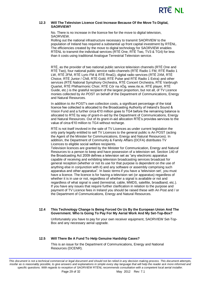

#### **12.3 Will The Television Licence Cost Increase Because Of the Move To Digital, SAORVIEW?**

No. There is no increase in the licence fee for the move to digital television, SAORVIEW.

Rolling out the national infrastructure necessary to transmit SAORVIEW to the population of Ireland has required a substantial up front capital investment by RTÉNL. The efficiencies created by the move to digital technology for SAORVIEW enables RTÉNL to transmit the individual services (RTÉ One, RTÉ Two, TV3 & TG4) for less than it costs using traditional Analogue Terrestrial Television service.

RTÉ, as the provider of two national public service television channels (RTÉ One and RTÉ Two), four national public service radio channels (RTÉ Radio 1 FM, RTÉ Radio 1 LW, RTÉ 2FM, RTÉ Lyric FM & RTÉ RnaG), digital radio services (RTÉ 2XM, RTÉ Choice, RTÉ Junior / Chill, RTÉ Gold, RTÉ Pulse and RTÉ Radio 1 Extra) and other services (RTÉ National Symphony Orchestra, RTÉ Concert Orchestra, RTÉ Vanbrugh Quartet, RTÉ Philharmonic Choir, RTÉ Cór na nÓg, www.rte.ie, RTÉ player, RTÉ Guide, etc.) is the grateful recipient of the largest proportion, but not all, of TV Licence monies collected by An POST on behalf of the Department of Communications, Energy and Natural Resources.

In addition to An POST's own collection costs, a significant percentage of the total licence fee collected is allocated to the Broadcasting Authority of Ireland's Sound & Vision Fund and a further circa €10 million goes to TG4 before the remaining balance is allocated to RTÉ by way of grant-in-aid by the Department of Communications, Energy and Natural Resources. Out of its grant-in-aid allocation RTÉ's provides services to the value of circa €10 million to TG4 without recharge.

RTÉ is not itself involved in the sale of TV Licences as under current legislation the only party legally entitled to sell TV Licences to the general public is An POST (acting the Agent of the Minister for Communications, Energy and Natural Resources). In addition, the Department of Community & Family Affairs (DCFA) distributes TV Licences to eligible social welfare recipients.

Television licences are granted by the Minister for Communication, Energy and Natural Resources to a person to keep and have possession of a television set. Section 140 of the Broadcasting Act 2009 defines a television set as "any electronic apparatus capable of receiving and exhibiting television broadcasting services broadcast for general reception (whether or not its use for that purpose is dependent on the use of anything else in conjunction with it) and any software or assembly comprising such apparatus and other apparatus". In basic terms if you have a 'television set', you must have a licence. The licence is for having a television set (or apparatus) regardless of whether it is in use or not, regardless of whether a signal is available or not and regardless of what signal is used (terrestrial, cable, MMDS, satellite, broadband, etc.). If you have any issues that require further clarification in relation to the purpose and payment of TV Licence fees in Ireland you should be raised these with An Post and / or the Department of Communications, Energy and Natural Resources.

#### **12.4 This Technology Change Is Being Forced On Us By the European Union And The Government. Who Is Going To Pay For My Aerial Work And My Set-Top-Box?**

Unfortunately you have to pay for your own receiver equipment, SAORVIEW Set-Top-Box and any necessary aerial upgrade.

#### **12.5 Will There Be A Fund To Help Genuine Hardship Cases?**

This is an issue for the Department of Communications, Energy and National Resources (DCENR).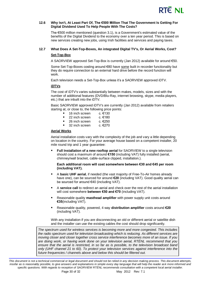

#### **12.6 Why Isn't, At Least Part Of, The €500 Million That The Government Is Getting For Digital Dividend Used To Help People With The Costs?**

The €500 million mentioned (question 3.1), is a Government's estimated value of the benefits of the Digital Dividend to the economy over a ten year period. This is based on new services creating new jobs, using Irish facilities and services and paying taxes.

## **12.7 What Does A Set-Top-Boxes, An integrated Digital TV's, Or Aerial Works, Cost?**

#### **Set-Top-Box**

A SAORVIEW approved Set-Top-Box is currently (Jan 2012) available for around €50.

Some Set-Top-Boxes costing around €80 have some built in recorder functionality but they do require connection to an external hard drive before the record function will work.

Each television needs a Set-Top-Box unless it's a SAORVIEW approved iDTV.

#### **iDTVs**

The cost of iDTV's varies substantially between makes, models, sizes and with the number of additional features (DVD/Blu-Ray, internet browsing, skype, media players, etc.) that are inbuilt into the iDTV.

Basic SAORVIEW approved iDTV's are currently (Jan 2012) available from retailers starting at, or close to, the following price points:

- 16 inch screen c. €130
- 22 inch screen c. €180
- 26 inch screen c. €250
- 32 inch screen c. €270

## **Aerial Works**

Aerial installation costs vary with the complexity of the job and vary a little depending on location in the country. For your average house based on a competent installer, 20 mile round trip and 1 year guarantee:

 **Full Installation of a new rooftop aerial** for SAORVIEW to a single television should cost a maximum of around **€150** (including VAT) fully installed (aerial, chimney/wall bracket, cable-surface clipped, installation.).

#### **Each additional room will cost somewhere between €30 and €45 per room (including VAT).**

- A **basic UHF aerial**, if needed (the vast majority of Free-To-Air homes already have one), can be sourced for around **€20** (including VAT). Good quality aerial can be sourced for around €40 (including VAT).
- A **service call** to redirect an aerial and check over the rest of the aerial installation will cost somewhere **between €50 and €70** (including VAT).
- Reasonable quality **masthead amplifier** with power supply unit costs around **€35**(including VAT).
- Reasonable quality, powered, 4 way **distribution amplifier** costs around **€20** (including VAT).

With any installation if you are disconnecting an old or different aerial or satellite dish and the installer can use the existing cables the cost should drop significantly.

<span id="page-29-0"></span>*The spectrum used for wireless services is becoming more and more congested. This includes the radio spectrum used for television broadcasting which is reducing. As different services are moving closer and closer together cross service interference becomes more of an issue. If you are doing work, or having work done on your television aerial, RTÉNL recommend that you ensure that the aerial is restricted, in so far as is possible, to the television broadcast band only (UHF channel 21 to 60). To protect your television services against interference into the future frequencies / channels above and below this should be filtered out.*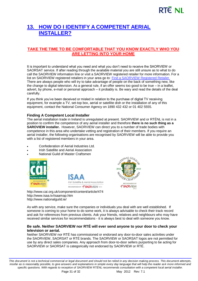# **13. [HOW DO I IDENTIFY A COMPETENT AERIAL](#page-2-6)  [INSTALLER?](#page-2-6)**

## **TAKE THE TIME TO BE COMFORTABLE THAT YOU KNOW EXACTLY WHO YOU ARE LETTING INTO YOUR HOME**

It is important to understand what you need and what you don't need to receive the SAORVIEW or SAORSAT service. If after reading through the available material you are still unsure as to what to do call the SAORVIEW information line or visit a SAORVIEW registered retailer for more information. For a list on SAORVIEW registered retailers in your area go to: [Find a SAORVIEW Registered Retailer.](http://www.saorview.ie/saorview/products-retailers/find-a-retailer/) There are always people who will try to take advantage of people on the back of something new, like the change to digital television. As a general rule, if an offer seems too good to be true – in a leaflet, advert, by phone, e-mail or personal approach – it probably is. Be wary and read the details of the deal carefully.

If you think you've been deceived or misled in relation to the purchase of digital TV receiving equipment, for example a TV, set-top box, aerial or satellite dish or the installation of any of this equipment, contact the National Consumer Agency on 1890 432 432 or 01 402 5555.

## **Finding A Competent Local Installer**

The aerial installation trade in Ireland is unregulated at present. SAORVIEW and or RTÉNL is not in a position to confirm the competence of any aerial installer and therefore **there is no such thing as a SAROVIEW installer.** However, SAORVIEW can direct you to a number of trade bodies with competence in this area who undertake vetting and registration of their members. If you require an aerial installer, the following organisations are recognised by SAORVIEW will be able to provide you with a list of registered members in your area.

- Confederation of Aerial Industries Ltd.
- Irish Satellite and Aerial Association
- National Guild of Master Craftsmen







<http://www.cai.org.uk/component/content/article/474> <http://www.isaa.tv/isaamap.htm> <http://www.nationalguild.ie/>

As with any service, make sure the companies or individuals you deal with are well established. If someone is coming to your home to do some work, it is always advisable to check their track record and ask for references from previous clients. Ask your friends, relatives and neighbours who may have received similar services for recommendations - it is always best to deal with someone you know.

### **Be safe. Neither SAORVIEW nor RTÉ will ever send anyone to your door to check your television or aerial.**

Neither SAORVIEW nor RTÉ has commissioned or endorsed any door-to-door sales activities under the SAORVIEW, SAORSAT or RTÉ brands. The SAORVIEW or SAORSAT logos are not permitted for use by any direct sales companies. Any approach from door-to-door sellers purporting to be acting for SAORVIEW or SAORSAT is categorically not endorsed by SAORVIEW or RTÉ.